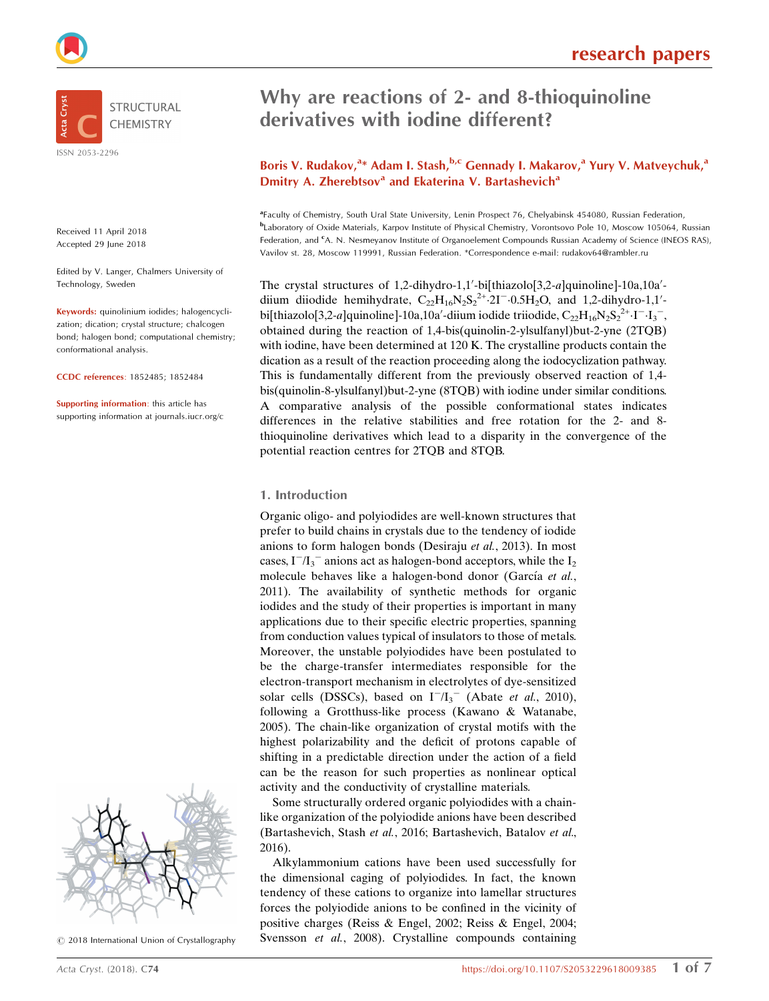

Received 11 April 2018 Accepted 29 June 2018

Edited by V. Langer, Chalmers University of Technology, Sweden

Keywords: quinolinium iodides; halogencyclization; dication; crystal structure; chalcogen bond; halogen bond; computational chemistry; conformational analysis.

CCDC references: 1852485; 1852484

Supporting information: this article has supporting information at journals.iucr.org/c



 $\circled{c}$  2018 International Union of Crystallography

# Why are reactions of 2- and 8-thioquinoline derivatives with iodine different?

### Boris V. Rudakov,<sup>a</sup>\* Adam I. Stash,<sup>b,c</sup> Gennady I. Makarov,<sup>a</sup> Yury V. Matveychuk,<sup>a</sup> Dmitry A. Zherebtsov<sup>a</sup> and Ekaterina V. Bartashevich<sup>a</sup>

<sup>a</sup>Faculty of Chemistry, South Ural State University, Lenin Prospect 76, Chelyabinsk 454080, Russian Federation, b Laboratory of Oxide Materials, Karpov Institute of Physical Chemistry, Vorontsovo Pole 10, Moscow 105064, Russian Federation, and <sup>c</sup>A. N. Nesmeyanov Institute of Organoelement Compounds Russian Academy of Science (INEOS RAS), Vavilov st. 28, Moscow 119991, Russian Federation. \*Correspondence e-mail: rudakov64@rambler.ru

The crystal structures of 1,2-dihydro-1,1'-bi[thiazolo[3,2-a]quinoline]-10a,10a'diium diiodide hemihydrate,  $C_{22}H_{16}N_2S_2^{2+}2I^{-}0.5H_2O$ , and 1,2-dihydro-1,1'bi[thiazolo[3,2-a]quinoline]-10a,10a'-diium iodide triiodide,  $C_{22}H_{16}N_2S_2^{2+}\cdot I^{-}I_3^{-}$ , obtained during the reaction of 1,4-bis(quinolin-2-ylsulfanyl)but-2-yne (2TQB) with iodine, have been determined at 120 K. The crystalline products contain the dication as a result of the reaction proceeding along the iodocyclization pathway. This is fundamentally different from the previously observed reaction of 1,4 bis(quinolin-8-ylsulfanyl)but-2-yne (8TQB) with iodine under similar conditions. A comparative analysis of the possible conformational states indicates differences in the relative stabilities and free rotation for the 2- and 8 thioquinoline derivatives which lead to a disparity in the convergence of the potential reaction centres for 2TQB and 8TQB.

#### 1. Introduction

Organic oligo- and polyiodides are well-known structures that prefer to build chains in crystals due to the tendency of iodide anions to form halogen bonds (Desiraju et al., 2013). In most cases,  $I^{-}/I_{3}^{-}$  anions act as halogen-bond acceptors, while the  $I_{2}$ molecule behaves like a halogen-bond donor (García et al., 2011). The availability of synthetic methods for organic iodides and the study of their properties is important in many applications due to their specific electric properties, spanning from conduction values typical of insulators to those of metals. Moreover, the unstable polyiodides have been postulated to be the charge-transfer intermediates responsible for the electron-transport mechanism in electrolytes of dye-sensitized solar cells (DSSCs), based on  $I^{-}/I_{3}^{-}$  (Abate et al., 2010), following a Grotthuss-like process (Kawano & Watanabe, 2005). The chain-like organization of crystal motifs with the highest polarizability and the deficit of protons capable of shifting in a predictable direction under the action of a field can be the reason for such properties as nonlinear optical activity and the conductivity of crystalline materials.

Some structurally ordered organic polyiodides with a chainlike organization of the polyiodide anions have been described (Bartashevich, Stash et al., 2016; Bartashevich, Batalov et al., 2016).

Alkylammonium cations have been used successfully for the dimensional caging of polyiodides. In fact, the known tendency of these cations to organize into lamellar structures forces the polyiodide anions to be confined in the vicinity of positive charges (Reiss & Engel, 2002; Reiss & Engel, 2004; Svensson et al., 2008). Crystalline compounds containing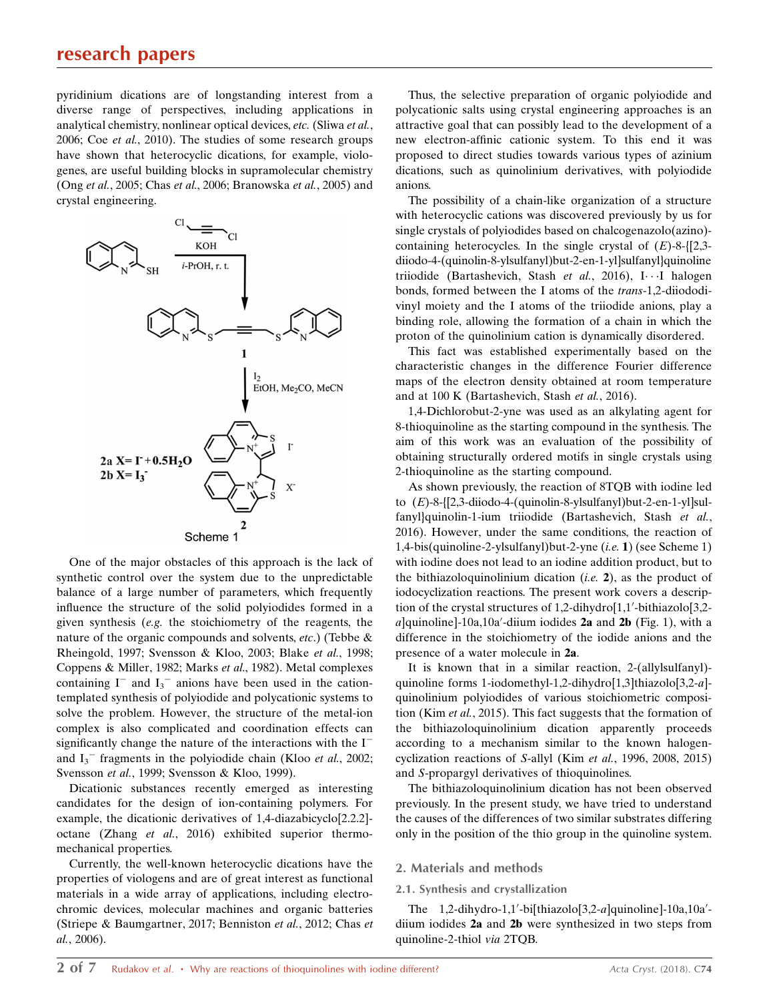### research papers

pyridinium dications are of longstanding interest from a diverse range of perspectives, including applications in analytical chemistry, nonlinear optical devices, etc. (Sliwa et al., 2006; Coe et al., 2010). The studies of some research groups have shown that heterocyclic dications, for example, viologenes, are useful building blocks in supramolecular chemistry (Ong et al., 2005; Chas et al., 2006; Branowska et al., 2005) and crystal engineering.



One of the major obstacles of this approach is the lack of synthetic control over the system due to the unpredictable balance of a large number of parameters, which frequently influence the structure of the solid polyiodides formed in a given synthesis (e.g. the stoichiometry of the reagents, the nature of the organic compounds and solvents, etc.) (Tebbe & Rheingold, 1997; Svensson & Kloo, 2003; Blake et al., 1998; Coppens & Miller, 1982; Marks et al., 1982). Metal complexes containing  $I^-$  and  $I_3^-$  anions have been used in the cationtemplated synthesis of polyiodide and polycationic systems to solve the problem. However, the structure of the metal-ion complex is also complicated and coordination effects can significantly change the nature of the interactions with the  $I^$ and  $I_3$ <sup>-</sup> fragments in the polyiodide chain (Kloo *et al.*, 2002; Svensson et al., 1999; Svensson & Kloo, 1999).

Dicationic substances recently emerged as interesting candidates for the design of ion-containing polymers. For example, the dicationic derivatives of 1,4-diazabicyclo[2.2.2] octane (Zhang et al., 2016) exhibited superior thermomechanical properties.

Currently, the well-known heterocyclic dications have the properties of viologens and are of great interest as functional materials in a wide array of applications, including electrochromic devices, molecular machines and organic batteries (Striepe & Baumgartner, 2017; Benniston et al., 2012; Chas et al., 2006).

Thus, the selective preparation of organic polyiodide and polycationic salts using crystal engineering approaches is an attractive goal that can possibly lead to the development of a new electron-affinic cationic system. To this end it was proposed to direct studies towards various types of azinium dications, such as quinolinium derivatives, with polyiodide anions.

The possibility of a chain-like organization of a structure with heterocyclic cations was discovered previously by us for single crystals of polyiodides based on chalcogenazolo(azino) containing heterocycles. In the single crystal of  $(E)$ -8-{[2,3diiodo-4-(quinolin-8-ylsulfanyl)but-2-en-1-yl]sulfanyl}quinoline triiodide (Bartashevich, Stash et al., 2016), I···I halogen bonds, formed between the I atoms of the trans-1,2-diiododivinyl moiety and the I atoms of the triiodide anions, play a binding role, allowing the formation of a chain in which the proton of the quinolinium cation is dynamically disordered.

This fact was established experimentally based on the characteristic changes in the difference Fourier difference maps of the electron density obtained at room temperature and at 100 K (Bartashevich, Stash et al., 2016).

1,4-Dichlorobut-2-yne was used as an alkylating agent for 8-thioquinoline as the starting compound in the synthesis. The aim of this work was an evaluation of the possibility of obtaining structurally ordered motifs in single crystals using 2-thioquinoline as the starting compound.

As shown previously, the reaction of 8TQB with iodine led to  $(E)$ -8-{[2,3-diiodo-4-(quinolin-8-ylsulfanyl)but-2-en-1-yl]sulfanyl}quinolin-1-ium triiodide (Bartashevich, Stash et al., 2016). However, under the same conditions, the reaction of 1,4-bis(quinoline-2-ylsulfanyl)but-2-yne (i.e. 1) (see Scheme 1) with iodine does not lead to an iodine addition product, but to the bithiazoloquinolinium dication  $(i.e. 2)$ , as the product of iodocyclization reactions. The present work covers a description of the crystal structures of 1,2-dihydro[1,1'-bithiazolo[3,2a]quinoline]-10a,10a'-diium iodides 2a and 2b (Fig. 1), with a difference in the stoichiometry of the iodide anions and the presence of a water molecule in 2a.

It is known that in a similar reaction, 2-(allylsulfanyl) quinoline forms 1-iodomethyl-1,2-dihydro[1,3]thiazolo[3,2-a] quinolinium polyiodides of various stoichiometric composition (Kim et al., 2015). This fact suggests that the formation of the bithiazoloquinolinium dication apparently proceeds according to a mechanism similar to the known halogencyclization reactions of S-allyl (Kim et al., 1996, 2008, 2015) and S-propargyl derivatives of thioquinolines.

The bithiazoloquinolinium dication has not been observed previously. In the present study, we have tried to understand the causes of the differences of two similar substrates differing only in the position of the thio group in the quinoline system.

#### 2. Materials and methods

#### 2.1. Synthesis and crystallization

The  $1,2$ -dihydro-1,1'-bi[thiazolo[3,2-a]quinoline]-10a,10a'diium iodides 2a and 2b were synthesized in two steps from quinoline-2-thiol via 2TQB.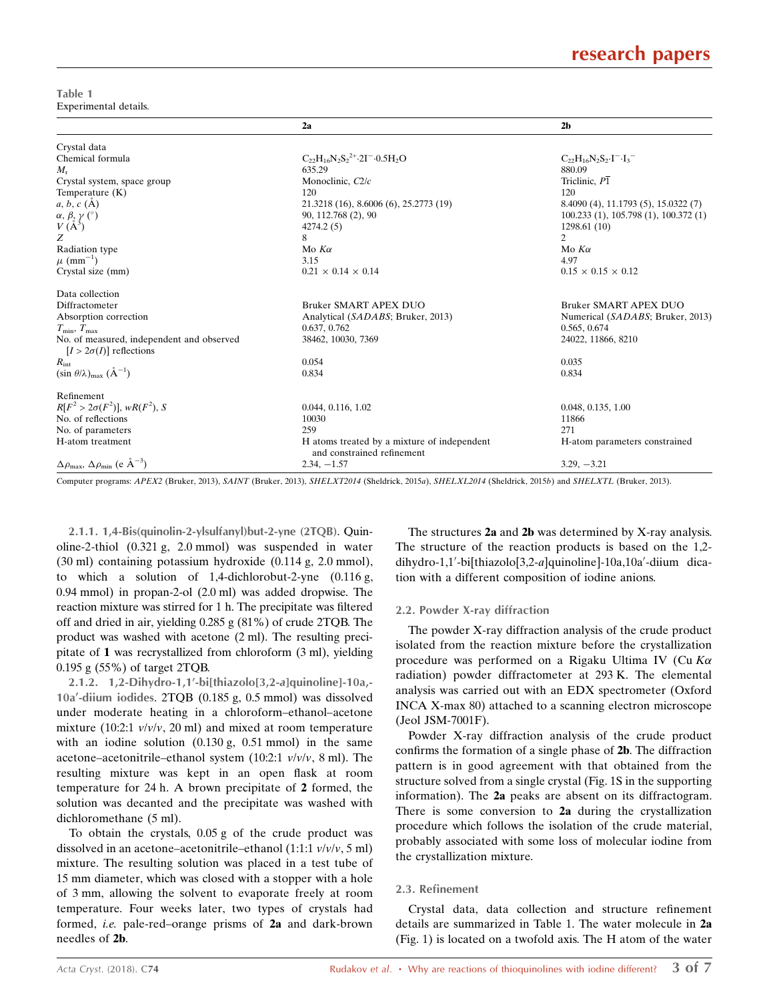## research papers

Table 1 Experimental details.

|                                                                             | 2a                                                                        | 2 <sub>b</sub>                       |
|-----------------------------------------------------------------------------|---------------------------------------------------------------------------|--------------------------------------|
| Crystal data                                                                |                                                                           |                                      |
| Chemical formula                                                            | $C_{22}H_{16}N_2S_2^{2+}.2I^-.0.5H_2O$                                    | $C_{22}H_{16}N_2S_2I^{-1}I_3$        |
| $M_{\rm r}$                                                                 | 635.29                                                                    | 880.09                               |
| Crystal system, space group                                                 | Monoclinic, C2/c                                                          | Triclinic, $P\overline{1}$           |
| Temperature $(K)$                                                           | 120                                                                       | 120                                  |
| $a, b, c$ (A)                                                               | 21.3218 (16), 8.6006 (6), 25.2773 (19)                                    | 8.4090 (4), 11.1793 (5), 15.0322 (7) |
|                                                                             | 90, 112.768 (2), 90                                                       | 100.233(1), 105.798(1), 100.372(1)   |
| $\alpha,\,\beta,\,\gamma\ (\hat{ }^{\circ })$ $V\,(\mathbf{A}^{3})$         | 4274.2(5)                                                                 | 1298.61 (10)                         |
| Z                                                                           | 8                                                                         | $\mathfrak{D}$                       |
| Radiation type                                                              | Mo $K\alpha$                                                              | Mo $K\alpha$                         |
| $\mu$ (mm <sup>-1</sup> )                                                   | 3.15                                                                      | 4.97                                 |
| Crystal size (mm)                                                           | $0.21 \times 0.14 \times 0.14$                                            | $0.15 \times 0.15 \times 0.12$       |
| Data collection                                                             |                                                                           |                                      |
| Diffractometer                                                              | <b>Bruker SMART APEX DUO</b>                                              | <b>Bruker SMART APEX DUO</b>         |
| Absorption correction                                                       | Analytical (SADABS; Bruker, 2013)                                         | Numerical (SADABS; Bruker, 2013)     |
| $T_{\min}, T_{\max}$                                                        | 0.637, 0.762                                                              | 0.565, 0.674                         |
| No. of measured, independent and observed<br>$[I > 2\sigma(I)]$ reflections | 38462, 10030, 7369                                                        | 24022, 11866, 8210                   |
| $R_{\rm int}$                                                               | 0.054                                                                     | 0.035                                |
| $(\sin \theta/\lambda)_{\text{max}}$ $(\AA^{-1})$                           | 0.834                                                                     | 0.834                                |
| Refinement                                                                  |                                                                           |                                      |
| $R[F^2 > 2\sigma(F^2)], wR(F^2), S$                                         | 0.044, 0.116, 1.02                                                        | 0.048, 0.135, 1.00                   |
| No. of reflections                                                          | 10030                                                                     | 11866                                |
| No. of parameters                                                           | 259                                                                       | 271                                  |
| H-atom treatment                                                            | H atoms treated by a mixture of independent<br>and constrained refinement | H-atom parameters constrained        |
| $\Delta \rho_{\text{max}}$ , $\Delta \rho_{\text{min}}$ (e $\AA^{-3}$ )     | $2.34, -1.57$                                                             | $3.29, -3.21$                        |

Computer programs: APEX2 (Bruker, 2013), SAINT (Bruker, 2013), SHELXT2014 (Sheldrick, 2015a), SHELXL2014 (Sheldrick, 2015b) and SHELXTL (Bruker, 2013).

2.1.1. 1,4-Bis(quinolin-2-ylsulfanyl)but-2-yne (2TQB). Quinoline-2-thiol (0.321 g, 2.0 mmol) was suspended in water (30 ml) containing potassium hydroxide (0.114 g, 2.0 mmol), to which a solution of 1,4-dichlorobut-2-yne (0.116 g, 0.94 mmol) in propan-2-ol (2.0 ml) was added dropwise. The reaction mixture was stirred for 1 h. The precipitate was filtered off and dried in air, yielding 0.285 g (81%) of crude 2TQB. The product was washed with acetone (2 ml). The resulting precipitate of 1 was recrystallized from chloroform (3 ml), yielding 0.195 g (55%) of target 2TQB.

2.1.2. 1,2-Dihydro-1,1'-bi[thiazolo[3,2-a]quinoline]-10a,- $10a'$ -diium iodides. 2TOB  $(0.185 g, 0.5 mmol)$  was dissolved under moderate heating in a chloroform–ethanol–acetone mixture (10:2:1  $v/v/v$ , 20 ml) and mixed at room temperature with an iodine solution (0.130 g, 0.51 mmol) in the same acetone–acetonitrile–ethanol system (10:2:1  $v/v/v$ , 8 ml). The resulting mixture was kept in an open flask at room temperature for 24 h. A brown precipitate of 2 formed, the solution was decanted and the precipitate was washed with dichloromethane (5 ml).

To obtain the crystals, 0.05 g of the crude product was dissolved in an acetone–acetonitrile–ethanol (1:1:1 v/v/v, 5 ml) mixture. The resulting solution was placed in a test tube of 15 mm diameter, which was closed with a stopper with a hole of 3 mm, allowing the solvent to evaporate freely at room temperature. Four weeks later, two types of crystals had formed, i.e. pale-red–orange prisms of 2a and dark-brown needles of 2b.

The structures 2a and 2b was determined by X-ray analysis. The structure of the reaction products is based on the 1,2 dihydro-1,1'-bi[thiazolo[3,2-a]quinoline]-10a,10a'-diium dication with a different composition of iodine anions.

#### 2.2. Powder X-ray diffraction

The powder X-ray diffraction analysis of the crude product isolated from the reaction mixture before the crystallization procedure was performed on a Rigaku Ultima IV (Cu  $K\alpha$ radiation) powder diffractometer at 293 K. The elemental analysis was carried out with an EDX spectrometer (Oxford INCA X-max 80) attached to a scanning electron microscope (Jeol JSM-7001F).

Powder X-ray diffraction analysis of the crude product confirms the formation of a single phase of 2b. The diffraction pattern is in good agreement with that obtained from the structure solved from a single crystal (Fig. 1S in the supporting information). The 2a peaks are absent on its diffractogram. There is some conversion to 2a during the crystallization procedure which follows the isolation of the crude material, probably associated with some loss of molecular iodine from the crystallization mixture.

#### 2.3. Refinement

Crystal data, data collection and structure refinement details are summarized in Table 1. The water molecule in 2a (Fig. 1) is located on a twofold axis. The H atom of the water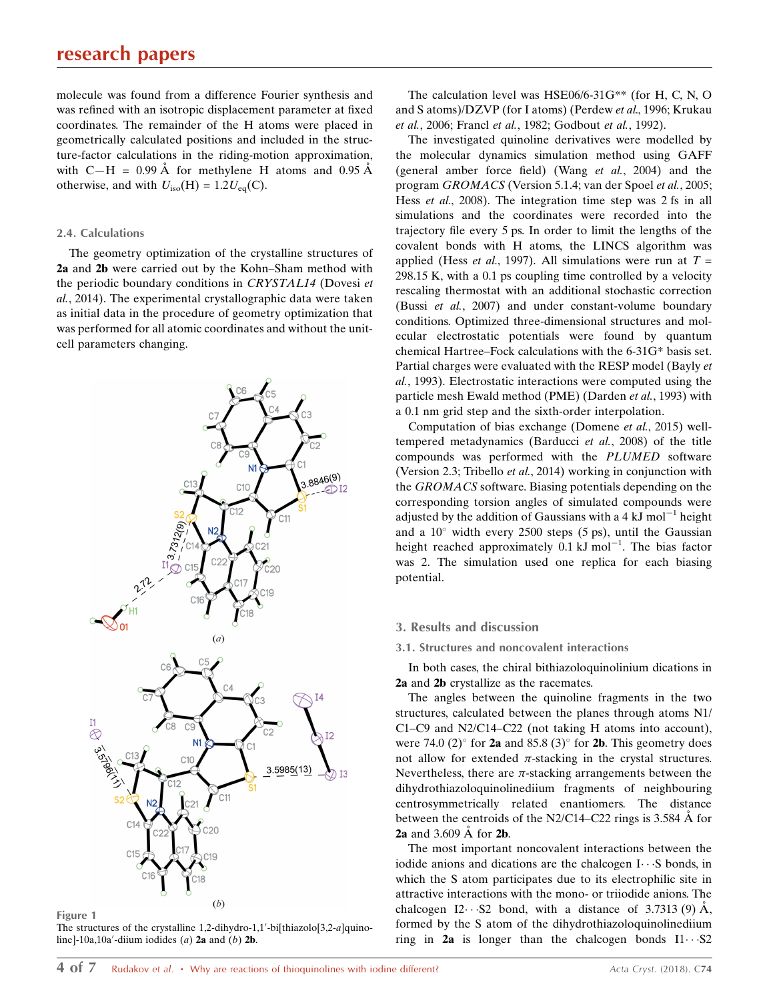molecule was found from a difference Fourier synthesis and was refined with an isotropic displacement parameter at fixed coordinates. The remainder of the H atoms were placed in geometrically calculated positions and included in the structure-factor calculations in the riding-motion approximation, with  $C-H = 0.99 \text{ Å}$  for methylene H atoms and 0.95 Å otherwise, and with  $U_{\text{iso}}(H) = 1.2U_{\text{eq}}(C)$ .

#### 2.4. Calculations

The geometry optimization of the crystalline structures of 2a and 2b were carried out by the Kohn–Sham method with the periodic boundary conditions in CRYSTAL14 (Dovesi et al., 2014). The experimental crystallographic data were taken as initial data in the procedure of geometry optimization that was performed for all atomic coordinates and without the unitcell parameters changing.



Figure 1

The structures of the crystalline 1,2-dihydro-1,1'-bi[thiazolo[3,2-a]quinoline]-10a,10a'-diium iodides (a)  $2a$  and (b)  $2b$ .

The calculation level was HSE06/6-31G\*\* (for H, C, N, O and S atoms)/DZVP (for I atoms) (Perdew et al., 1996; Krukau et al., 2006; Francl et al., 1982; Godbout et al., 1992).

The investigated quinoline derivatives were modelled by the molecular dynamics simulation method using GAFF (general amber force field) (Wang et al., 2004) and the program GROMACS (Version 5.1.4; van der Spoel et al., 2005; Hess *et al.*, 2008). The integration time step was 2 fs in all simulations and the coordinates were recorded into the trajectory file every 5 ps. In order to limit the lengths of the covalent bonds with H atoms, the LINCS algorithm was applied (Hess *et al.*, 1997). All simulations were run at  $T =$ 298.15 K, with a 0.1 ps coupling time controlled by a velocity rescaling thermostat with an additional stochastic correction (Bussi et al., 2007) and under constant-volume boundary conditions. Optimized three-dimensional structures and molecular electrostatic potentials were found by quantum chemical Hartree–Fock calculations with the 6-31G\* basis set. Partial charges were evaluated with the RESP model (Bayly et al., 1993). Electrostatic interactions were computed using the particle mesh Ewald method (PME) (Darden et al., 1993) with a 0.1 nm grid step and the sixth-order interpolation.

Computation of bias exchange (Domene et al., 2015) welltempered metadynamics (Barducci et al., 2008) of the title compounds was performed with the PLUMED software (Version 2.3; Tribello et al., 2014) working in conjunction with the GROMACS software. Biasing potentials depending on the corresponding torsion angles of simulated compounds were adjusted by the addition of Gaussians with a 4 kJ mol<sup>-1</sup> height and a  $10^{\circ}$  width every 2500 steps (5 ps), until the Gaussian height reached approximately  $0.1 \text{ kJ} \text{ mol}^{-1}$ . The bias factor was 2. The simulation used one replica for each biasing potential.

#### 3. Results and discussion

#### 3.1. Structures and noncovalent interactions

In both cases, the chiral bithiazoloquinolinium dications in 2a and 2b crystallize as the racemates.

The angles between the quinoline fragments in the two structures, calculated between the planes through atoms N1/ C1–C9 and N2/C14–C22 (not taking H atoms into account), were 74.0 (2) $\degree$  for 2a and 85.8 (3) $\degree$  for 2b. This geometry does not allow for extended  $\pi$ -stacking in the crystal structures. Nevertheless, there are  $\pi$ -stacking arrangements between the dihydrothiazoloquinolinediium fragments of neighbouring centrosymmetrically related enantiomers. The distance between the centroids of the N2/C14–C22 rings is  $3.584 \text{ Å}$  for 2a and  $3.609$  Å for 2b.

The most important noncovalent interactions between the iodide anions and dications are the chalcogen  $I \cdots S$  bonds, in which the S atom participates due to its electrophilic site in attractive interactions with the mono- or triiodide anions. The chalcogen I2 $\cdot \cdot$ -S2 bond, with a distance of 3.7313 (9) Å, formed by the S atom of the dihydrothiazoloquinolinediium ring in  $2a$  is longer than the chalcogen bonds  $I1 \cdots S2$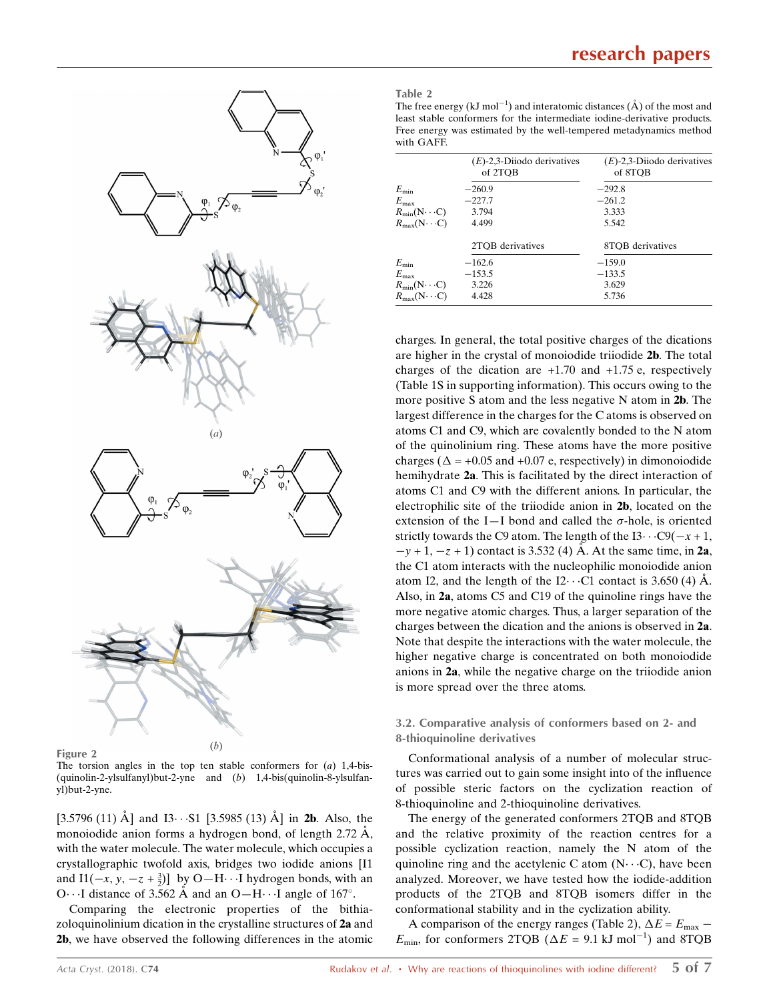

Figure 2

The torsion angles in the top ten stable conformers for  $(a)$  1,4-bis-(quinolin-2-ylsulfanyl)but-2-yne and (b) 1,4-bis(quinolin-8-ylsulfanyl)but-2-yne.

[3.5796 (11)  $\AA$ ] and I3···S1 [3.5985 (13)  $\AA$ ] in 2b. Also, the monoiodide anion forms a hydrogen bond, of length  $2.72 \text{ Å}$ , with the water molecule. The water molecule, which occupies a crystallographic twofold axis, bridges two iodide anions [I1 and I1( $-x$ ,  $y$ ,  $-z + \frac{3}{2}$ )] by O-H $\cdots$ I hydrogen bonds, with an O $\cdots$ I distance of 3.562 Å and an O $-H \cdots$ I angle of 167°.

Comparing the electronic properties of the bithiazoloquinolinium dication in the crystalline structures of 2a and 2b, we have observed the following differences in the atomic Table 2

The free energy (kJ mol<sup>-1</sup>) and interatomic distances ( $\AA$ ) of the most and least stable conformers for the intermediate iodine-derivative products. Free energy was estimated by the well-tempered metadynamics method with GAFF.

|                              | $(E)$ -2,3-Diiodo derivatives<br>of 2TOB | $(E)$ -2,3-Diiodo derivatives<br>of 8TOB |
|------------------------------|------------------------------------------|------------------------------------------|
| $E_{\rm min}$                | $-260.9$                                 | $-292.8$                                 |
| $E_{\rm max}$                | $-227.7$                                 | $-261.2$                                 |
| $R_{\text{min}}(N \cdots C)$ | 3.794                                    | 3.333                                    |
| $R_{\text{max}}(N \cdots C)$ | 4.499                                    | 5.542                                    |
|                              | 2TOB derivatives                         | 8TOB derivatives                         |
| $E_{\rm min}$                | $-162.6$                                 | $-159.0$                                 |
| $E_{\rm max}$                | $-153.5$                                 | $-133.5$                                 |
| $R_{\text{min}}(N \cdots C)$ | 3.226                                    | 3.629                                    |
| $R_{\text{max}}(N \cdots C)$ | 4.428                                    | 5.736                                    |

charges. In general, the total positive charges of the dications are higher in the crystal of monoiodide triiodide 2b. The total charges of the dication are  $+1.70$  and  $+1.75$  e, respectively (Table 1S in supporting information). This occurs owing to the more positive S atom and the less negative N atom in 2b. The largest difference in the charges for the C atoms is observed on atoms C1 and C9, which are covalently bonded to the N atom of the quinolinium ring. These atoms have the more positive charges ( $\Delta$  = +0.05 and +0.07 e, respectively) in dimonoiodide hemihydrate 2a. This is facilitated by the direct interaction of atoms C1 and C9 with the different anions. In particular, the electrophilic site of the triiodide anion in 2b, located on the extension of the I-I bond and called the  $\sigma$ -hole, is oriented strictly towards the C9 atom. The length of the  $13 \cdots C9(-x + 1,$  $-y + 1$ ,  $-z + 1$ ) contact is 3.532 (4) A. At the same time, in 2a, the C1 atom interacts with the nucleophilic monoiodide anion atom I2, and the length of the I2 $\cdot \cdot$  C1 contact is 3.650 (4) Å. Also, in 2a, atoms C5 and C19 of the quinoline rings have the more negative atomic charges. Thus, a larger separation of the charges between the dication and the anions is observed in 2a. Note that despite the interactions with the water molecule, the higher negative charge is concentrated on both monoiodide anions in 2a, while the negative charge on the triiodide anion is more spread over the three atoms.

#### 3.2. Comparative analysis of conformers based on 2- and 8-thioquinoline derivatives

Conformational analysis of a number of molecular structures was carried out to gain some insight into of the influence of possible steric factors on the cyclization reaction of 8-thioquinoline and 2-thioquinoline derivatives.

The energy of the generated conformers 2TQB and 8TQB and the relative proximity of the reaction centres for a possible cyclization reaction, namely the N atom of the quinoline ring and the acetylenic C atom  $(N \cdots C)$ , have been analyzed. Moreover, we have tested how the iodide-addition products of the 2TQB and 8TQB isomers differ in the conformational stability and in the cyclization ability.

A comparison of the energy ranges (Table 2),  $\Delta E = E_{\text{max}}$  –  $E_{\text{min}}$ , for conformers 2TQB ( $\Delta E = 9.1$  kJ mol<sup>-1</sup>) and 8TQB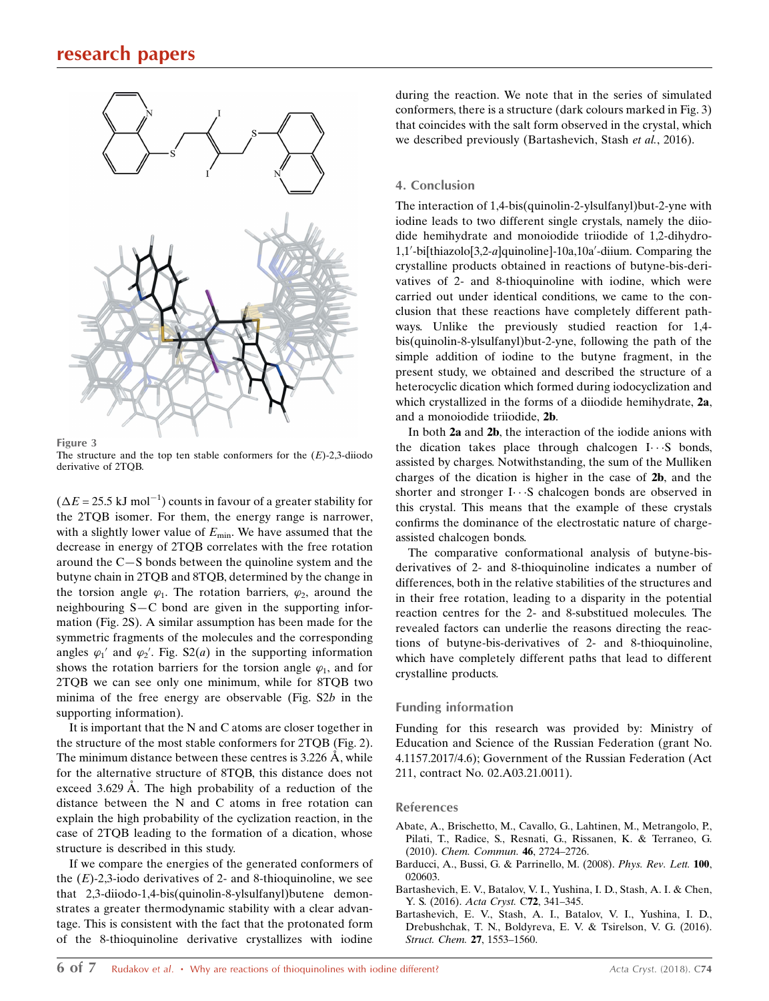## research papers



Figure 3

The structure and the top ten stable conformers for the  $(E)$ -2,3-diiodo derivative of 2TQB.

 $(\Delta E = 25.5 \text{ kJ mol}^{-1})$  counts in favour of a greater stability for the 2TQB isomer. For them, the energy range is narrower, with a slightly lower value of  $E_{\text{min}}$ . We have assumed that the decrease in energy of 2TQB correlates with the free rotation around the C—S bonds between the quinoline system and the butyne chain in 2TQB and 8TQB, determined by the change in the torsion angle  $\varphi_1$ . The rotation barriers,  $\varphi_2$ , around the neighbouring S—C bond are given in the supporting information (Fig. 2S). A similar assumption has been made for the symmetric fragments of the molecules and the corresponding angles  $\varphi_1'$  and  $\varphi_2'$ . Fig. S2(*a*) in the supporting information shows the rotation barriers for the torsion angle  $\varphi_1$ , and for 2TQB we can see only one minimum, while for 8TQB two minima of the free energy are observable (Fig. S2b in the supporting information).

It is important that the N and C atoms are closer together in the structure of the most stable conformers for 2TQB (Fig. 2). The minimum distance between these centres is  $3.226 \text{ Å}$ , while for the alternative structure of 8TQB, this distance does not exceed  $3.629$  Å. The high probability of a reduction of the distance between the N and C atoms in free rotation can explain the high probability of the cyclization reaction, in the case of 2TQB leading to the formation of a dication, whose structure is described in this study.

If we compare the energies of the generated conformers of the  $(E)$ -2,3-iodo derivatives of 2- and 8-thioquinoline, we see that 2,3-diiodo-1,4-bis(quinolin-8-ylsulfanyl)butene demonstrates a greater thermodynamic stability with a clear advantage. This is consistent with the fact that the protonated form of the 8-thioquinoline derivative crystallizes with iodine during the reaction. We note that in the series of simulated conformers, there is a structure (dark colours marked in Fig. 3) that coincides with the salt form observed in the crystal, which we described previously (Bartashevich, Stash et al., 2016).

#### 4. Conclusion

The interaction of 1,4-bis(quinolin-2-ylsulfanyl)but-2-yne with iodine leads to two different single crystals, namely the diiodide hemihydrate and monoiodide triiodide of 1,2-dihydro-1,1'-bi[thiazolo[3,2-a]quinoline]-10a,10a'-diium. Comparing the crystalline products obtained in reactions of butyne-bis-derivatives of 2- and 8-thioquinoline with iodine, which were carried out under identical conditions, we came to the conclusion that these reactions have completely different pathways. Unlike the previously studied reaction for 1,4 bis(quinolin-8-ylsulfanyl)but-2-yne, following the path of the simple addition of iodine to the butyne fragment, in the present study, we obtained and described the structure of a heterocyclic dication which formed during iodocyclization and which crystallized in the forms of a diiodide hemihydrate, 2a, and a monoiodide triiodide, 2b.

In both 2a and 2b, the interaction of the iodide anions with the dication takes place through chalcogen  $I \cdots S$  bonds, assisted by charges. Notwithstanding, the sum of the Mulliken charges of the dication is higher in the case of 2b, and the shorter and stronger I...S chalcogen bonds are observed in this crystal. This means that the example of these crystals confirms the dominance of the electrostatic nature of chargeassisted chalcogen bonds.

The comparative conformational analysis of butyne-bisderivatives of 2- and 8-thioquinoline indicates a number of differences, both in the relative stabilities of the structures and in their free rotation, leading to a disparity in the potential reaction centres for the 2- and 8-substitued molecules. The revealed factors can underlie the reasons directing the reactions of butyne-bis-derivatives of 2- and 8-thioquinoline, which have completely different paths that lead to different crystalline products.

#### Funding information

Funding for this research was provided by: Ministry of Education and Science of the Russian Federation (grant No. 4.1157.2017/4.6); Government of the Russian Federation (Act 211, contract No. 02.A03.21.0011).

#### References

- [Abate, A., Brischetto, M., Cavallo, G., Lahtinen, M., Metrangolo, P.,](http://scripts.iucr.org/cgi-bin/cr.cgi?rm=pdfbb&cnor=lg3225&bbid=BB1) [Pilati, T., Radice, S., Resnati, G., Rissanen, K. & Terraneo, G.](http://scripts.iucr.org/cgi-bin/cr.cgi?rm=pdfbb&cnor=lg3225&bbid=BB1) (2010). [Chem. Commun.](http://scripts.iucr.org/cgi-bin/cr.cgi?rm=pdfbb&cnor=lg3225&bbid=BB1) 46, 2724–2726.
- [Barducci, A., Bussi, G. & Parrinello, M. \(2008\).](http://scripts.iucr.org/cgi-bin/cr.cgi?rm=pdfbb&cnor=lg3225&bbid=BB2) Phys. Rev. Lett. 100, [020603.](http://scripts.iucr.org/cgi-bin/cr.cgi?rm=pdfbb&cnor=lg3225&bbid=BB2)
- [Bartashevich, E. V., Batalov, V. I., Yushina, I. D., Stash, A. I. & Chen,](http://scripts.iucr.org/cgi-bin/cr.cgi?rm=pdfbb&cnor=lg3225&bbid=BB3) [Y. S. \(2016\).](http://scripts.iucr.org/cgi-bin/cr.cgi?rm=pdfbb&cnor=lg3225&bbid=BB3) Acta Cryst. C72, 341–345.
- [Bartashevich, E. V., Stash, A. I., Batalov, V. I., Yushina, I. D.,](http://scripts.iucr.org/cgi-bin/cr.cgi?rm=pdfbb&cnor=lg3225&bbid=BB4) [Drebushchak, T. N., Boldyreva, E. V. & Tsirelson, V. G. \(2016\).](http://scripts.iucr.org/cgi-bin/cr.cgi?rm=pdfbb&cnor=lg3225&bbid=BB4) [Struct. Chem.](http://scripts.iucr.org/cgi-bin/cr.cgi?rm=pdfbb&cnor=lg3225&bbid=BB4) 27, 1553–1560.